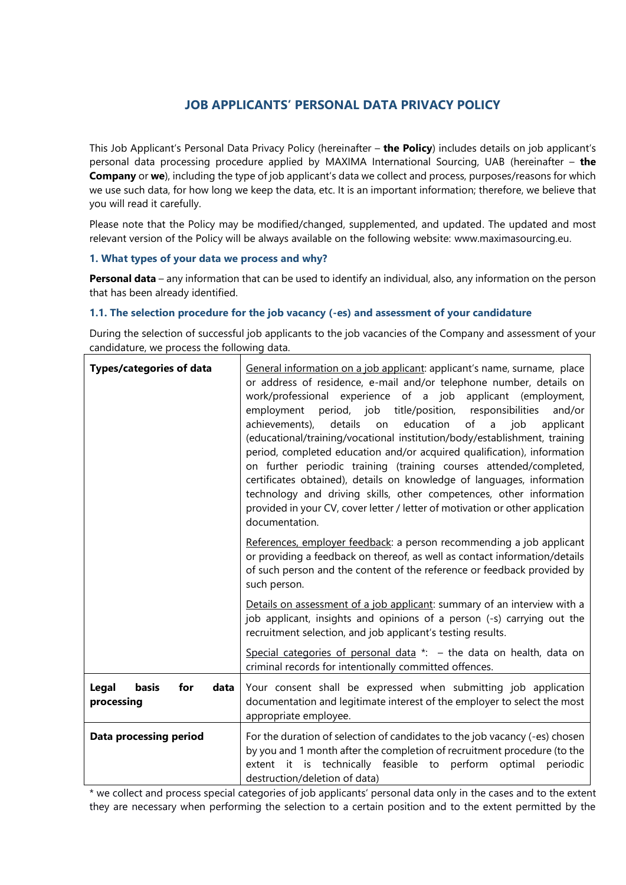# **JOB APPLICANTS' PERSONAL DATA PRIVACY POLICY**

This Job Applicant's Personal Data Privacy Policy (hereinafter – **the Policy**) includes details on job applicant's personal data processing procedure applied by MAXIMA International Sourcing, UAB (hereinafter – **the Company** or **we**), including the type of job applicant's data we collect and process, purposes/reasons for which we use such data, for how long we keep the data, etc. It is an important information; therefore, we believe that you will read it carefully.

Please note that the Policy may be modified/changed, supplemented, and updated. The updated and most relevant version of the Policy will be always available on the following website: www.maximasourcing.eu.

# **1. What types of your data we process and why?**

**Personal data** – any information that can be used to identify an individual, also, any information on the person that has been already identified.

## **1.1. The selection procedure for the job vacancy (-es) and assessment of your candidature**

During the selection of successful job applicants to the job vacancies of the Company and assessment of your candidature, we process the following data.

| <b>Types/categories of data</b>             | General information on a job applicant: applicant's name, surname, place<br>or address of residence, e-mail and/or telephone number, details on<br>work/professional experience of a job applicant (employment,<br>employment period, job title/position, responsibilities<br>and/or<br>achievements),<br>details<br>education<br>of a job<br>on<br>applicant<br>(educational/training/vocational institution/body/establishment, training<br>period, completed education and/or acquired qualification), information<br>on further periodic training (training courses attended/completed,<br>certificates obtained), details on knowledge of languages, information<br>technology and driving skills, other competences, other information<br>provided in your CV, cover letter / letter of motivation or other application<br>documentation. |
|---------------------------------------------|-------------------------------------------------------------------------------------------------------------------------------------------------------------------------------------------------------------------------------------------------------------------------------------------------------------------------------------------------------------------------------------------------------------------------------------------------------------------------------------------------------------------------------------------------------------------------------------------------------------------------------------------------------------------------------------------------------------------------------------------------------------------------------------------------------------------------------------------------|
|                                             | References, employer feedback: a person recommending a job applicant<br>or providing a feedback on thereof, as well as contact information/details<br>of such person and the content of the reference or feedback provided by<br>such person.                                                                                                                                                                                                                                                                                                                                                                                                                                                                                                                                                                                                   |
|                                             | Details on assessment of a job applicant: summary of an interview with a<br>job applicant, insights and opinions of a person (-s) carrying out the<br>recruitment selection, and job applicant's testing results.                                                                                                                                                                                                                                                                                                                                                                                                                                                                                                                                                                                                                               |
|                                             | Special categories of personal data $*$ : - the data on health, data on<br>criminal records for intentionally committed offences.                                                                                                                                                                                                                                                                                                                                                                                                                                                                                                                                                                                                                                                                                                               |
| Legal<br>basis<br>for<br>data<br>processing | Your consent shall be expressed when submitting job application<br>documentation and legitimate interest of the employer to select the most<br>appropriate employee.                                                                                                                                                                                                                                                                                                                                                                                                                                                                                                                                                                                                                                                                            |
| <b>Data processing period</b>               | For the duration of selection of candidates to the job vacancy (-es) chosen<br>by you and 1 month after the completion of recruitment procedure (to the<br>extent it is technically feasible to perform<br>optimal<br>periodic<br>destruction/deletion of data)                                                                                                                                                                                                                                                                                                                                                                                                                                                                                                                                                                                 |

\* we collect and process special categories of job applicants' personal data only in the cases and to the extent they are necessary when performing the selection to a certain position and to the extent permitted by the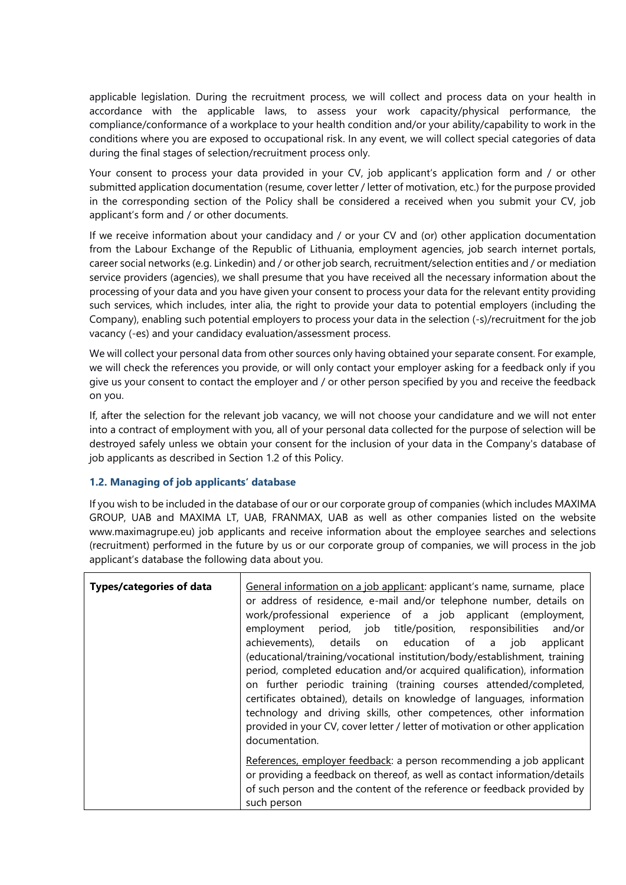applicable legislation. During the recruitment process, we will collect and process data on your health in accordance with the applicable laws, to assess your work capacity/physical performance, the compliance/conformance of a workplace to your health condition and/or your ability/capability to work in the conditions where you are exposed to occupational risk. In any event, we will collect special categories of data during the final stages of selection/recruitment process only.

Your consent to process your data provided in your CV, job applicant's application form and / or other submitted application documentation (resume, cover letter / letter of motivation, etc.) for the purpose provided in the corresponding section of the Policy shall be considered a received when you submit your CV, job applicant's form and / or other documents.

If we receive information about your candidacy and / or your CV and (or) other application documentation from the Labour Exchange of the Republic of Lithuania, employment agencies, job search internet portals, career social networks (e.g. Linkedin) and / or other job search, recruitment/selection entities and / or mediation service providers (agencies), we shall presume that you have received all the necessary information about the processing of your data and you have given your consent to process your data for the relevant entity providing such services, which includes, inter alia, the right to provide your data to potential employers (including the Company), enabling such potential employers to process your data in the selection (-s)/recruitment for the job vacancy (-es) and your candidacy evaluation/assessment process.

We will collect your personal data from other sources only having obtained your separate consent. For example, we will check the references you provide, or will only contact your employer asking for a feedback only if you give us your consent to contact the employer and / or other person specified by you and receive the feedback on you.

If, after the selection for the relevant job vacancy, we will not choose your candidature and we will not enter into a contract of employment with you, all of your personal data collected for the purpose of selection will be destroyed safely unless we obtain your consent for the inclusion of your data in the Company's database of job applicants as described in Section 1.2 of this Policy.

# **1.2. Managing of job applicants' database**

If you wish to be included in the database of our or our corporate group of companies (which includes MAXIMA GROUP, UAB and MAXIMA LT, UAB, FRANMAX, UAB as well as other companies listed on the website www.maximagrupe.eu) job applicants and receive information about the employee searches and selections (recruitment) performed in the future by us or our corporate group of companies, we will process in the job applicant's database the following data about you.

| <b>Types/categories of data</b> | General information on a job applicant: applicant's name, surname, place<br>or address of residence, e-mail and/or telephone number, details on<br>work/professional experience of a job applicant (employment,<br>employment period, job title/position, responsibilities<br>and/or<br>achievements), details on education of a job applicant<br>(educational/training/vocational institution/body/establishment, training<br>period, completed education and/or acquired qualification), information<br>on further periodic training (training courses attended/completed,<br>certificates obtained), details on knowledge of languages, information<br>technology and driving skills, other competences, other information<br>provided in your CV, cover letter / letter of motivation or other application |
|---------------------------------|----------------------------------------------------------------------------------------------------------------------------------------------------------------------------------------------------------------------------------------------------------------------------------------------------------------------------------------------------------------------------------------------------------------------------------------------------------------------------------------------------------------------------------------------------------------------------------------------------------------------------------------------------------------------------------------------------------------------------------------------------------------------------------------------------------------|
|                                 | documentation.<br>References, employer feedback: a person recommending a job applicant<br>or providing a feedback on thereof, as well as contact information/details<br>of such person and the content of the reference or feedback provided by                                                                                                                                                                                                                                                                                                                                                                                                                                                                                                                                                                |
|                                 | such person                                                                                                                                                                                                                                                                                                                                                                                                                                                                                                                                                                                                                                                                                                                                                                                                    |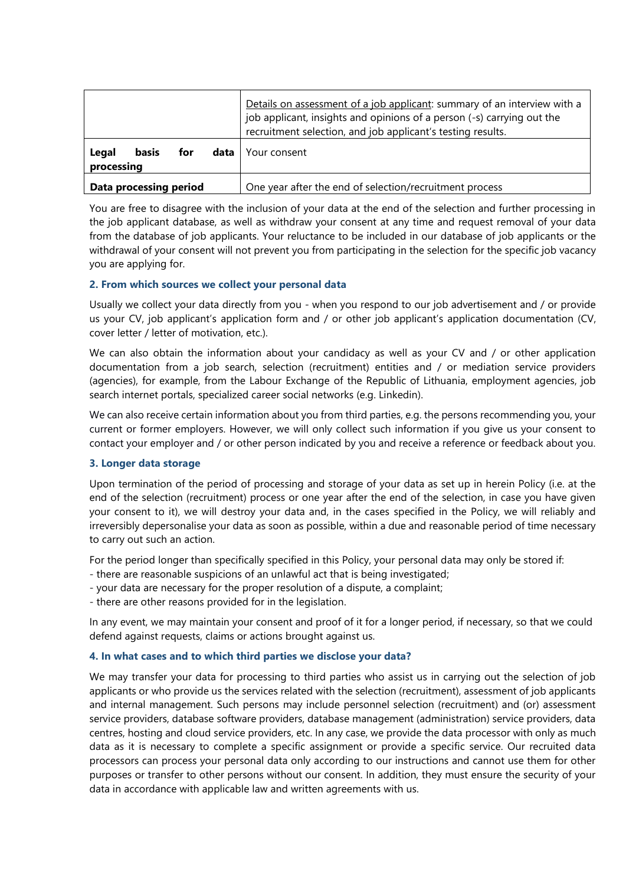|                                                    | Details on assessment of a job applicant: summary of an interview with a<br>job applicant, insights and opinions of a person (-s) carrying out the<br>recruitment selection, and job applicant's testing results. |
|----------------------------------------------------|-------------------------------------------------------------------------------------------------------------------------------------------------------------------------------------------------------------------|
| <b>basis</b><br>Legal<br>for<br>data<br>processing | Your consent                                                                                                                                                                                                      |
| Data processing period                             | One year after the end of selection/recruitment process                                                                                                                                                           |

You are free to disagree with the inclusion of your data at the end of the selection and further processing in the job applicant database, as well as withdraw your consent at any time and request removal of your data from the database of job applicants. Your reluctance to be included in our database of job applicants or the withdrawal of your consent will not prevent you from participating in the selection for the specific job vacancy you are applying for.

## **2. From which sources we collect your personal data**

Usually we collect your data directly from you - when you respond to our job advertisement and / or provide us your CV, job applicant's application form and / or other job applicant's application documentation (CV, cover letter / letter of motivation, etc.).

We can also obtain the information about your candidacy as well as your CV and / or other application documentation from a job search, selection (recruitment) entities and / or mediation service providers (agencies), for example, from the Labour Exchange of the Republic of Lithuania, employment agencies, job search internet portals, specialized career social networks (e.g. Linkedin).

We can also receive certain information about you from third parties, e.g. the persons recommending you, your current or former employers. However, we will only collect such information if you give us your consent to contact your employer and / or other person indicated by you and receive a reference or feedback about you.

# **3. Longer data storage**

Upon termination of the period of processing and storage of your data as set up in herein Policy (i.e. at the end of the selection (recruitment) process or one year after the end of the selection, in case you have given your consent to it), we will destroy your data and, in the cases specified in the Policy, we will reliably and irreversibly depersonalise your data as soon as possible, within a due and reasonable period of time necessary to carry out such an action.

For the period longer than specifically specified in this Policy, your personal data may only be stored if:

- there are reasonable suspicions of an unlawful act that is being investigated;
- your data are necessary for the proper resolution of a dispute, a complaint;
- there are other reasons provided for in the legislation.

In any event, we may maintain your consent and proof of it for a longer period, if necessary, so that we could defend against requests, claims or actions brought against us.

## **4. In what cases and to which third parties we disclose your data?**

We may transfer your data for processing to third parties who assist us in carrying out the selection of job applicants or who provide us the services related with the selection (recruitment), assessment of job applicants and internal management. Such persons may include personnel selection (recruitment) and (or) assessment service providers, database software providers, database management (administration) service providers, data centres, hosting and cloud service providers, etc. In any case, we provide the data processor with only as much data as it is necessary to complete a specific assignment or provide a specific service. Our recruited data processors can process your personal data only according to our instructions and cannot use them for other purposes or transfer to other persons without our consent. In addition, they must ensure the security of your data in accordance with applicable law and written agreements with us.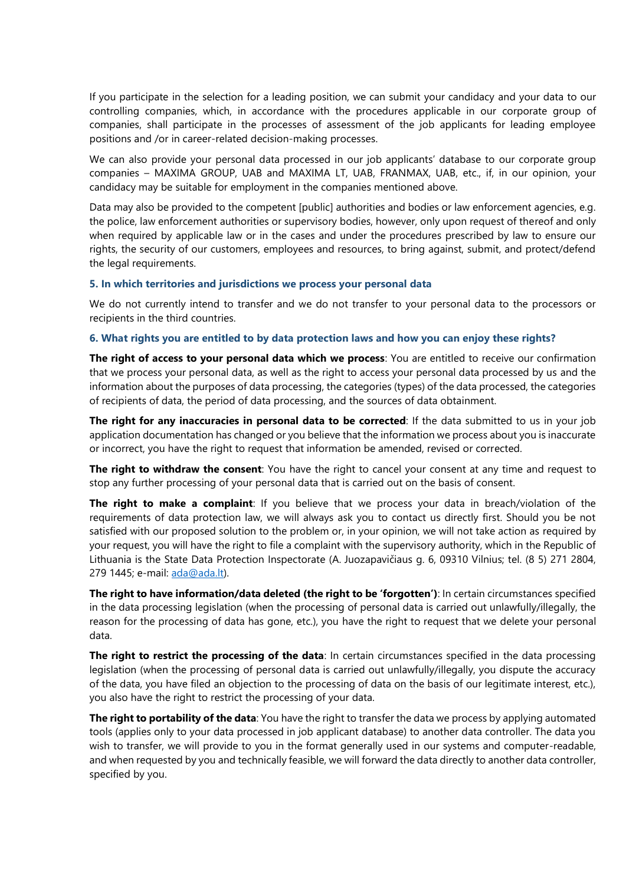If you participate in the selection for a leading position, we can submit your candidacy and your data to our controlling companies, which, in accordance with the procedures applicable in our corporate group of companies, shall participate in the processes of assessment of the job applicants for leading employee positions and /or in career-related decision-making processes.

We can also provide your personal data processed in our job applicants' database to our corporate group companies – MAXIMA GROUP, UAB and MAXIMA LT, UAB, FRANMAX, UAB, etc., if, in our opinion, your candidacy may be suitable for employment in the companies mentioned above.

Data may also be provided to the competent [public] authorities and bodies or law enforcement agencies, e.g. the police, law enforcement authorities or supervisory bodies, however, only upon request of thereof and only when required by applicable law or in the cases and under the procedures prescribed by law to ensure our rights, the security of our customers, employees and resources, to bring against, submit, and protect/defend the legal requirements.

#### **5. In which territories and jurisdictions we process your personal data**

We do not currently intend to transfer and we do not transfer to your personal data to the processors or recipients in the third countries.

## **6. What rights you are entitled to by data protection laws and how you can enjoy these rights?**

**The right of access to your personal data which we process**: You are entitled to receive our confirmation that we process your personal data, as well as the right to access your personal data processed by us and the information about the purposes of data processing, the categories (types) of the data processed, the categories of recipients of data, the period of data processing, and the sources of data obtainment.

**The right for any inaccuracies in personal data to be corrected**: If the data submitted to us in your job application documentation has changed or you believe that the information we process about you is inaccurate or incorrect, you have the right to request that information be amended, revised or corrected.

**The right to withdraw the consent**: You have the right to cancel your consent at any time and request to stop any further processing of your personal data that is carried out on the basis of consent.

**The right to make a complaint**: If you believe that we process your data in breach/violation of the requirements of data protection law, we will always ask you to contact us directly first. Should you be not satisfied with our proposed solution to the problem or, in your opinion, we will not take action as required by your request, you will have the right to file a complaint with the supervisory authority, which in the Republic of Lithuania is the State Data Protection Inspectorate (A. Juozapavičiaus g. 6, 09310 Vilnius; tel. (8 5) 271 2804, 279 1445; e-mail: [ada@ada.lt\)](mailto:ada@ada.lt).

**The right to have information/data deleted (the right to be 'forgotten')**: In certain circumstances specified in the data processing legislation (when the processing of personal data is carried out unlawfully/illegally, the reason for the processing of data has gone, etc.), you have the right to request that we delete your personal data.

**The right to restrict the processing of the data**: In certain circumstances specified in the data processing legislation (when the processing of personal data is carried out unlawfully/illegally, you dispute the accuracy of the data, you have filed an objection to the processing of data on the basis of our legitimate interest, etc.), you also have the right to restrict the processing of your data.

**The right to portability of the data**: You have the right to transfer the data we process by applying automated tools (applies only to your data processed in job applicant database) to another data controller. The data you wish to transfer, we will provide to you in the format generally used in our systems and computer-readable, and when requested by you and technically feasible, we will forward the data directly to another data controller, specified by you.